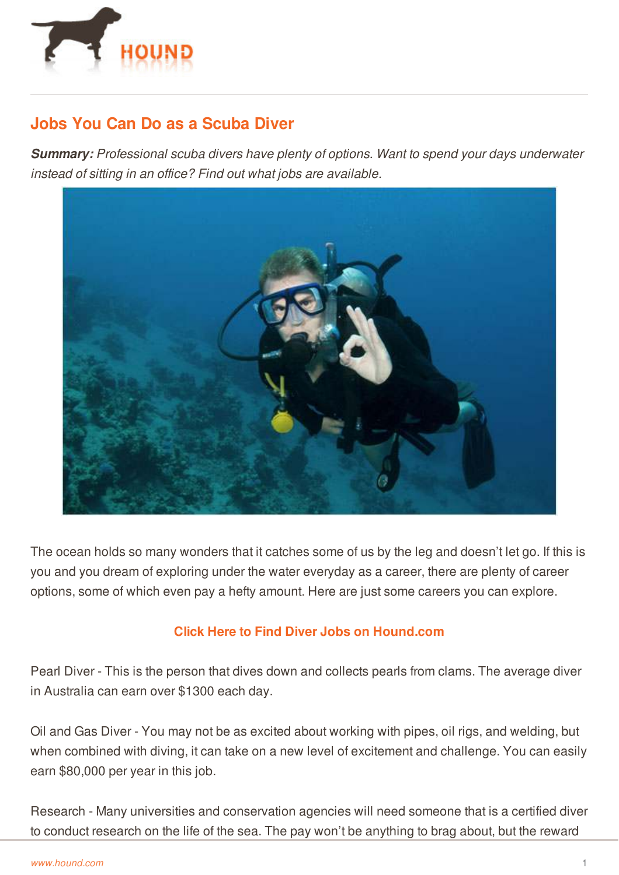

## **Jobs You Can Do as a Scuba Diver**

*Summary: Professional scuba divers have plenty of options. Want to spend your days underwater instead of sitting in an office? Find out what jobs are available.*



The ocean holds so many wonders that it catches some of us by the leg and doesn't let go. If this is you and you dream of exploring under the water everyday as a career, there are plenty of career options, some of which even pay a hefty amount. Here are just some careers you can explore.

## **Click Here to Find Diver Jobs on [Hound.com](http://www.hound.com/gjsearchresult.php?q=diver&l=&country=&js_radius=25&js_fromage=&usub=1)**

Pearl Diver - This is the person that dives down and collects pearls from clams. The average diver in Australia can earn over \$1300 each day.

Oil and Gas Diver - You may not be as excited about working with pipes, oil rigs, and welding, but when combined with diving, it can take on a new level of excitement and challenge. You can easily earn [\\$80,000](http://www.hound.com/) per year in this job.

Research - Many universities and conservation agencies will need someone that is a certified diver to conduct research on the life of the sea. The pay won't be anything to brag about, but the reward